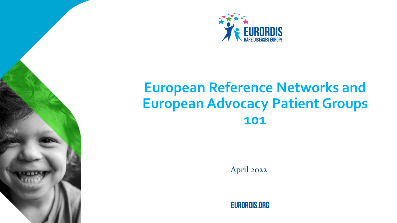

# **European Reference Networks and European Advocacy Patient Groups 101**

April 2022

**EURORDIS.ORG**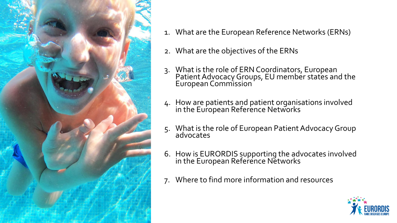

- 1. What are the European Reference Networks (ERNs)
- 2. What are the objectives of the ERNs
- 3. What is the role of ERN Coordinators, European Patient Advocacy Groups, EU member states and the European Commission
- 4. How are patients and patient organisations involved in the European Reference Networks
- 5. What is the role of European Patient Advocacy Group advocates
- 6. How is EURORDIS supporting the advocates involved in the European Reference Networks
- 7. Where to find more information and resources

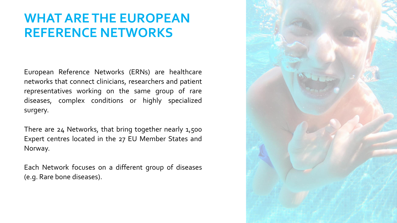## **WHAT ARE THE EUROPEAN REFERENCE NETWORKS**

European Reference Networks (ERNs) are healthcare networks that connect clinicians, researchers and patient representatives working on the same group of rare diseases, complex conditions or highly specialized surgery.

There are 24 Networks, that bring together nearly 1,500 Expert centres located in the 27 EU Member States and Norway.

Each Network focuses on a different group of diseases (e.g. Rare bone diseases).

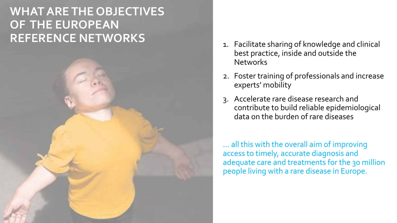## **WHAT ARE THE OBJECTIVES OF THE EUROPEAN REFERENCE NETWORKS**



- 1. Facilitate sharing of knowledge and clinical best practice, inside and outside the **Networks**
- 2. Foster training of professionals and increase experts' mobility
- 3. Accelerate rare disease research and contribute to build reliable epidemiological data on the burden of rare diseases

… all this with the overall aim of improving access to timely, accurate diagnosis and adequate care and treatments for the 30 million people living with a rare disease in Europe.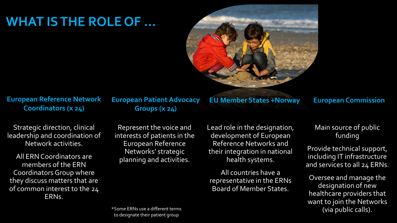## **WHAT IS THE ROLE OF …**



**European Reference Network Coordinators (x 24)** 

**European Patient Advocacy Groups (x 24)** 

Strategic direction, clinical leadership and coordination of Network activities.

All ERN Coordinators are members of the ERN Coordinators Group where they discuss matters that are of common interest to the 24 ERNs.

Represent the voice and interests of patients in the European Reference Networks' strategic planning and activities.

Lead role in the designation, development of European

**EU Member States +Norway European Commission**

Reference Networks and their integration in national health systems.

All countries have a representative in the ERNs Board of Member States.

Main source of public funding

Provide technical support, including IT infrastructure and services to all 24 ERNs.

Oversee and manage the designation of new healthcare providers that want to join the Networks (via public calls).

\*Some ERNs use a different terms to designate their patient group,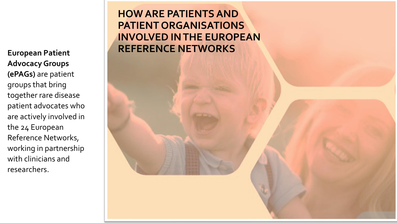**Advocacy Groups (ePAGs)** are patient groups that bring together rare disease patient advocates who are actively involved in the 24 European Reference Networks, working in partnership with clinicians and researchers.

### **HOW ARE PATIENTS AND PATIENT ORGANISATIONS INVOLVED IN THE EUROPEAN REFERENCE NETWORKS**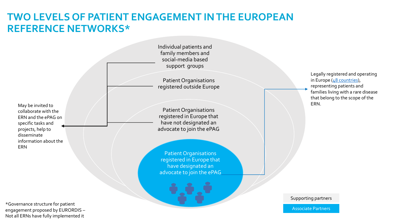### **TWO LEVELS OF PATIENT ENGAGEMENT IN THE EUROPEAN REFERENCE NETWORKS\***

May be invited to the control of  $\Box$  . The control of  $\Box$  is the control of  $\Box$  . In the control of  $\Box$  . ERN. collaborate with the ERN and the ePAG on specific tasks and projects, help to disseminate information about the ERN

\*Governance structure for patient engagement proposed by EURORDIS – Not all ERNs have fully implemented it

Individual patients and family members and social-media based support groups

Patient Organisations registered outside Europe

Patient Organisations registered in Europe that have not designated an advocate to join the ePAG

Patient Organisations registered in Europe that have designated an advocate to join the ePAG

Legally registered and operating in Europe  $(48$  countries), representing patients and families living with a rare disease that belong to the scope of the

Supporting partners

Associate Partners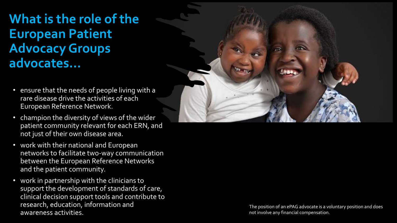# **What is the role of the European Patient Advocacy Groups advocates…**

- ensure that the needs of people living with a rare disease drive the activities of each European Reference Network.
- champion the diversity of views of the wider patient community relevant for each ERN, and not just of their own disease area.
- work with their national and European networks to facilitate two-way communication between the European Reference Networks and the patient community.
- work in partnership with the clinicians to support the development of standards of care, clinical decision support tools and contribute to research, education, information and awareness activities.



The position of an ePAG advocate is a voluntary position and does not involve any financial compensation.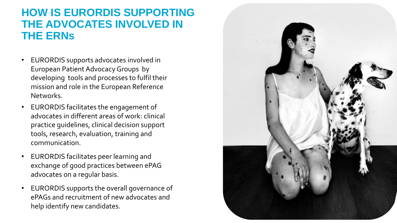### **HOW IS EURORDIS SUPPORTING THE ADVOCATES INVOLVED IN THE ERN s**

- EURORDIS supports advocates involved in European Patient Advocacy Groups by developing tools and processes to fulfil their mission and role in the European Reference Networks.
- EURORDIS facilitates the engagement of advocates in different areas of work: clinical practice guidelines, clinical decision support tools, research, evaluation, training and communication.
- EURORDIS facilitates peer learning and exchange of good practices between ePAG advocates on a regular basis.
- EURORDIS supports the overall governance of ePAGs and recruitment of new advocates and help identify new candidates.

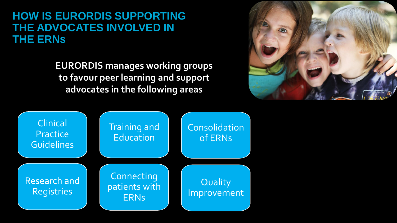### **HOW IS EURORDIS SUPPORTING THE ADVOCATES INVOLVED IN THE ERNs**

**EURORDIS manages working groups to favour peer learning and support advocates in the following areas**